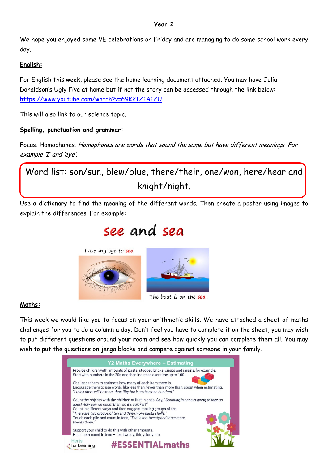#### **Year 2**

We hope you enjoyed some VE celebrations on Friday and are managing to do some school work every day.

#### **English:**

For English this week, please see the home learning document attached. You may have Julia Donaldson's Ugly Five at home but if not the story can be accessed through the link below: https://www.you[tube.com/watch?v=69K2IZ1A1ZU](https://www.youtube.com/watch?v=69K2IZ1A1ZU)

This will also link to our science topic.

#### **Spelling, punctuation and grammar:**

Focus: Homophones. Homophones are words that sound the same but have different meanings. For example 'I' and 'eye'.

Word list: son/sun, blew/blue, there/their, one/won, here/hear and knight/night.

Use a dictionary to find the meaning of the different words. Then create a poster using images to explain the differences. For example:

# see and sea

I use my eye to see.





The boat is on the sea.

#### **Maths:**

This week we would like you to focus on your arithmetic skills. We have attached a sheet of maths challenges for you to do a column a day. Don't feel you have to complete it on the sheet, you may wish to put different questions around your room and see how quickly you can complete them all. You may wish to put the questions on jenga blocks and compete against someone in your family.

| Y2 Maths Everywhere - Estimating |                                                                                                                                                                                                                                                                                                                                                                               |  |  |  |  |  |  |  |
|----------------------------------|-------------------------------------------------------------------------------------------------------------------------------------------------------------------------------------------------------------------------------------------------------------------------------------------------------------------------------------------------------------------------------|--|--|--|--|--|--|--|
|                                  | Provide children with amounts of pasta, studded bricks, crisps and raisins, for example.<br>Start with numbers in the 20s and then increase over time up to 100.                                                                                                                                                                                                              |  |  |  |  |  |  |  |
|                                  | Challenge them to estimate how many of each item there is.<br>Encourage them to use words like less than, fewer than, more than, about when estimating.<br>"I think there will be more than fifty but less than one hundred."                                                                                                                                                 |  |  |  |  |  |  |  |
|                                  | Count the objects with the children at first in ones. Say, "Counting in ones is going to take us<br>ages! How can we count them so it's quicker?"<br>Count in different ways and then suggest making groups of ten.<br>"There are two groups of ten and three more pasta shells."<br>Touch each pile and count in tens, "That's ten, twenty and three more,<br>twenty three." |  |  |  |  |  |  |  |
|                                  | Support your child to do this with other amounts.<br>Help them count in tens $-$ ten, twenty, thirty, forty etc.                                                                                                                                                                                                                                                              |  |  |  |  |  |  |  |
|                                  | <b>Herts</b><br><b>#ESSENTIALmaths</b><br>for Learning                                                                                                                                                                                                                                                                                                                        |  |  |  |  |  |  |  |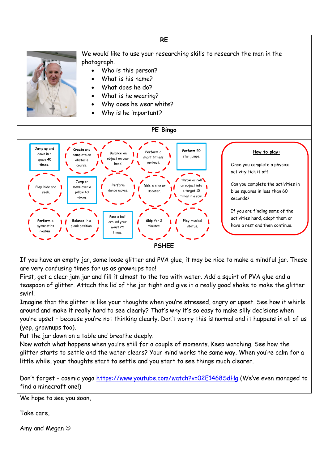

If you have an empty jar, some loose glitter and PVA glue, it may be nice to make a mindful jar. These are very confusing times for us as grownups too!

First, get a clear jam jar and fill it almost to the top with water. Add a squirt of PVA glue and a teaspoon of glitter. Attach the lid of the jar tight and give it a really good shake to make the glitter swirl.

Imagine that the glitter is like your thoughts when you're stressed, angry or upset. See how it whirls around and make it really hard to see clearly? That's why it's so easy to make silly decisions when you're upset – because you're not thinking clearly. Don't worry this is normal and it happens in all of us (yep, grownups too).

Put the jar down on a table and breathe deeply.

Now watch what happens when you're still for a couple of moments. Keep watching. See how the glitter starts to settle and the water clears? Your mind works the same way. When you're calm for a little while, your thoughts start to settle and you start to see things much clearer.

Don't forget – cosmic yoga <https://www.youtube.com/watch?v=02E1468SdHg> (We've even managed to find a minecraft one!)

We hope to see you soon,

Take care,

Amy and Megan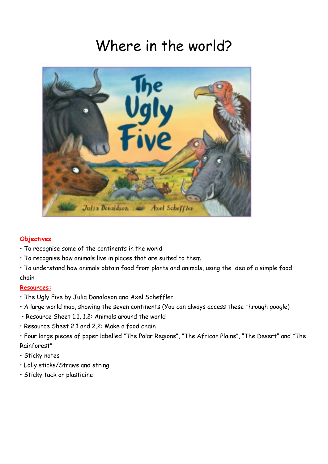# Where in the world?



#### **Objectives**

- To recognise some of the continents in the world
- To recognise how animals live in places that are suited to them
- To understand how animals obtain food from plants and animals, using the idea of a simple food chain

#### **Resources:**

- The Ugly Five by Julia Donaldson and Axel Scheffler
- A large world map, showing the seven continents (You can always access these through google)
- Resource Sheet 1.1, 1.2: Animals around the world
- Resource Sheet 2.1 and 2.2: Make a food chain
- Four large pieces of paper labelled "The Polar Regions", "The African Plains", "The Desert" and "The Rainforest"
- Sticky notes
- Lolly sticks/Straws and string
- Sticky tack or plasticine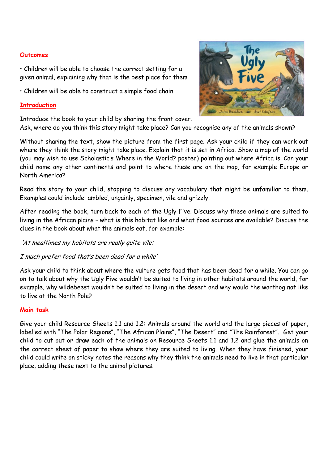#### **Outcomes**

• Children will be able to choose the correct setting for a given animal, explaining why that is the best place for them

• Children will be able to construct a simple food chain

#### **Introduction**

Introduce the book to your child by sharing the front cover.

Ask, where do you think this story might take place? Can you recognise any of the animals shown?

Without sharing the text, show the picture from the first page. Ask your child if they can work out where they think the story might take place. Explain that it is set in Africa. Show a map of the world (you may wish to use Scholastic's Where in the World? poster) pointing out where Africa is. Can your child name any other continents and point to where these are on the map, for example Europe or North America?

Read the story to your child, stopping to discuss any vocabulary that might be unfamiliar to them. Examples could include: ambled, ungainly, specimen, vile and grizzly.

After reading the book, turn back to each of the Ugly Five. Discuss why these animals are suited to living in the African plains – what is this habitat like and what food sources are available? Discuss the clues in the book about what the animals eat, for example:

'At mealtimes my habitats are really quite vile;

I much prefer food that's been dead for a while'

Ask your child to think about where the vulture gets food that has been dead for a while. You can go on to talk about why the Ugly Five wouldn't be suited to living in other habitats around the world, for example, why wildebeest wouldn't be suited to living in the desert and why would the warthog not like to live at the North Pole?

#### **Main task**

Give your child Resource Sheets 1.1 and 1.2: Animals around the world and the large pieces of paper, labelled with "The Polar Regions", "The African Plains", "The Desert" and "The Rainforest". Get your child to cut out or draw each of the animals on Resource Sheets 1.1 and 1.2 and glue the animals on the correct sheet of paper to show where they are suited to living. When they have finished, your child could write on sticky notes the reasons why they think the animals need to live in that particular place, adding these next to the animal pictures.

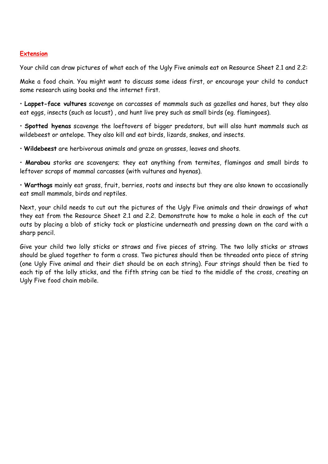#### **Extension**

Your child can draw pictures of what each of the Ugly Five animals eat on Resource Sheet 2.1 and 2.2:

Make a food chain. You might want to discuss some ideas first, or encourage your child to conduct some research using books and the internet first.

• **Lappet-face vultures** scavenge on carcasses of mammals such as gazelles and hares, but they also eat eggs, insects (such as locust) , and hunt live prey such as small birds (eg. flamingoes).

• **Spotted hyenas** scavenge the loeftovers of bigger predators, but will also hunt mammals such as wildebeest or antelope. They also kill and eat birds, lizards, snakes, and insects.

• **Wildebeest** are herbivorous animals and graze on grasses, leaves and shoots.

• **Marabou** storks are scavengers; they eat anything from termites, flamingos and small birds to leftover scraps of mammal carcasses (with vultures and hyenas).

• **Warthogs** mainly eat grass, fruit, berries, roots and insects but they are also known to occasionally eat small mammals, birds and reptiles.

Next, your child needs to cut out the pictures of the Ugly Five animals and their drawings of what they eat from the Resource Sheet 2.1 and 2.2. Demonstrate how to make a hole in each of the cut outs by placing a blob of sticky tack or plasticine underneath and pressing down on the card with a sharp pencil.

Give your child two lolly sticks or straws and five pieces of string. The two lolly sticks or straws should be glued together to form a cross. Two pictures should then be threaded onto piece of string (one Ugly Five animal and their diet should be on each string). Four strings should then be tied to each tip of the lolly sticks, and the fifth string can be tied to the middle of the cross, creating an Ugly Five food chain mobile.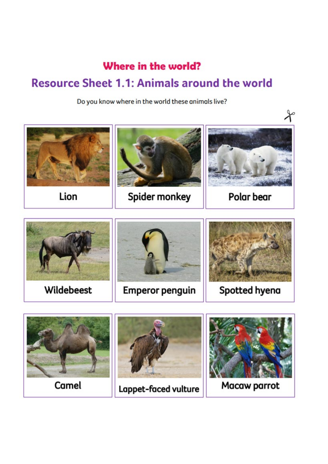### Where in the world?

### **Resource Sheet 1.1: Animals around the world**

Do you know where in the world these animals live?





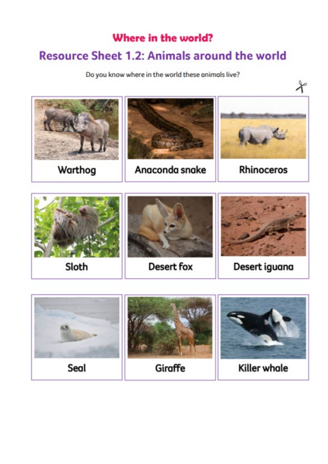### Where in the world?

### **Resource Sheet 1.2: Animals around the world**

Do you know where in the world these animals live?



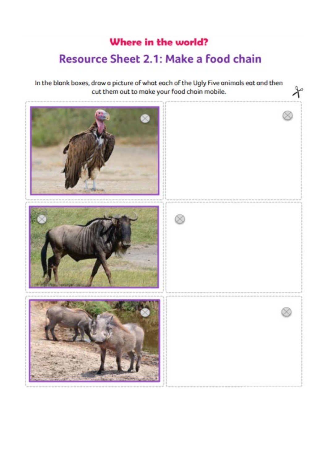## Where in the world? **Resource Sheet 2.1: Make a food chain**

In the blank boxes, draw a picture of what each of the Ugly Five animals eat and then cut them out to make your food chain mobile.

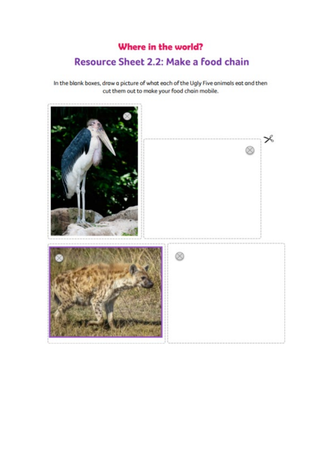### Where in the world? **Resource Sheet 2.2: Make a food chain**

In the blank boxes, draw a picture of what each of the Ugly Five animals eat and then cut them out to make your food chain mobile.